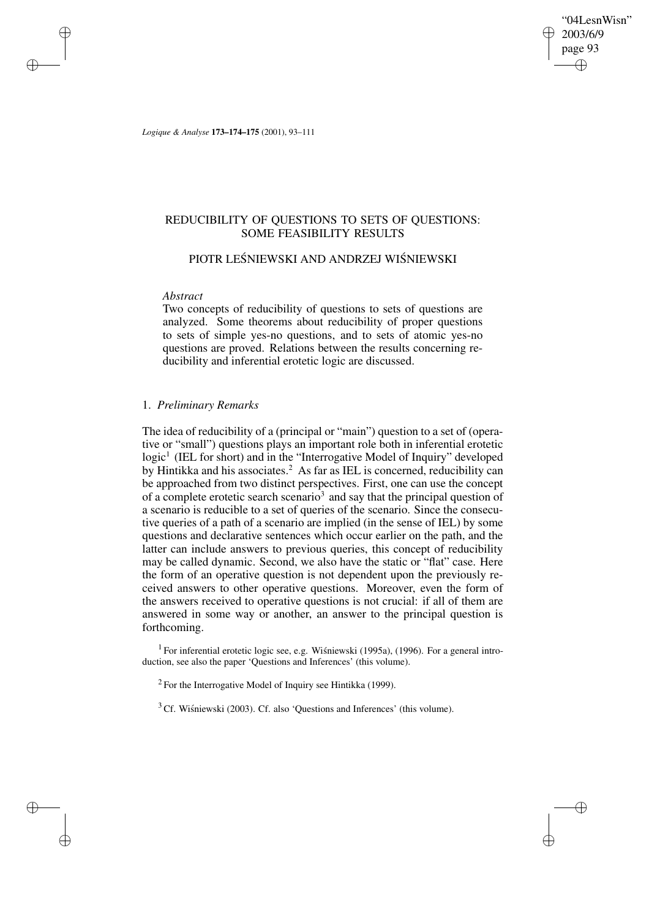"04LesnWisn" 2003/6/9 page 93 ✐ ✐

✐

✐

*Logique & Analyse* **173–174–175** (2001), 93–111

# REDUCIBILITY OF QUESTIONS TO SETS OF QUESTIONS: SOME FEASIBILITY RESULTS

# PIOTR LEŚNIEWSKI AND ANDRZEJ WIŚNIEWSKI

### *Abstract*

✐

✐

✐

✐

Two concepts of reducibility of questions to sets of questions are analyzed. Some theorems about reducibility of proper questions to sets of simple yes-no questions, and to sets of atomic yes-no questions are proved. Relations between the results concerning reducibility and inferential erotetic logic are discussed.

## 1. *Preliminary Remarks*

The idea of reducibility of a (principal or "main") question to a set of (operative or "small") questions plays an important role both in inferential erotetic logic<sup>1</sup> (IEL for short) and in the "Interrogative Model of Inquiry" developed by Hintikka and his associates.<sup>2</sup> As far as IEL is concerned, reducibility can be approached from two distinct perspectives. First, one can use the concept of a complete erotetic search scenario<sup>3</sup> and say that the principal question of a scenario is reducible to a set of queries of the scenario. Since the consecutive queries of a path of a scenario are implied (in the sense of IEL) by some questions and declarative sentences which occur earlier on the path, and the latter can include answers to previous queries, this concept of reducibility may be called dynamic. Second, we also have the static or "flat" case. Here the form of an operative question is not dependent upon the previously received answers to other operative questions. Moreover, even the form of the answers received to operative questions is not crucial: if all of them are answered in some way or another, an answer to the principal question is forthcoming.

<sup>1</sup> For inferential erotetic logic see, e.g. Wiśniewski (1995a), (1996). For a general introduction, see also the paper 'Questions and Inferences' (this volume).

 $2$  For the Interrogative Model of Inquiry see Hintikka (1999).

 $3$  Cf. Wisniewski (2003). Cf. also 'Questions and Inferences' (this volume).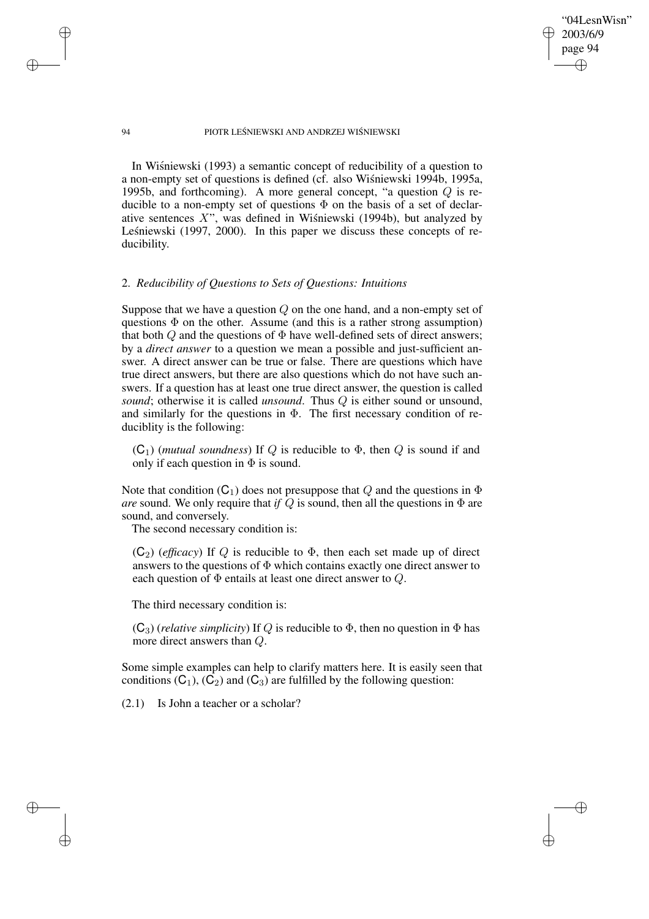"04LesnWisn" 2003/6/9 page 94 ✐ ✐

✐

✐

### 94 PIOTR LEŚNIEWSKI AND ANDRZEJ WIŚNIEWSKI

In Wisniewski (1993) a semantic concept of reducibility of a question to a non-empty set of questions is defined (cf. also Wisniewski 1994b, 1995a, 1995b, and forthcoming). A more general concept, "a question Q is reducible to a non-empty set of questions  $\Phi$  on the basis of a set of declarative sentences  $X$ ", was defined in Wisniewski (1994b), but analyzed by Leśniewski (1997, 2000). In this paper we discuss these concepts of reducibility.

### 2. *Reducibility of Questions to Sets of Questions: Intuitions*

Suppose that we have a question  $Q$  on the one hand, and a non-empty set of questions  $\Phi$  on the other. Assume (and this is a rather strong assumption) that both  $Q$  and the questions of  $\Phi$  have well-defined sets of direct answers; by a *direct answer* to a question we mean a possible and just-sufficient answer. A direct answer can be true or false. There are questions which have true direct answers, but there are also questions which do not have such answers. If a question has at least one true direct answer, the question is called *sound*; otherwise it is called *unsound*. Thus Q is either sound or unsound, and similarly for the questions in  $\Phi$ . The first necessary condition of reduciblity is the following:

 $(C_1)$  (*mutual soundness*) If Q is reducible to  $\Phi$ , then Q is sound if and only if each question in  $\Phi$  is sound.

Note that condition  $(C_1)$  does not presuppose that Q and the questions in  $\Phi$ *are* sound. We only require that *if*  $\overline{Q}$  is sound, then all the questions in  $\Phi$  are sound, and conversely.

The second necessary condition is:

 $(C_2)$  (*efficacy*) If Q is reducible to  $\Phi$ , then each set made up of direct answers to the questions of  $\Phi$  which contains exactly one direct answer to each question of  $\Phi$  entails at least one direct answer to  $Q$ .

The third necessary condition is:

 $(C_3)$  (*relative simplicity*) If Q is reducible to  $\Phi$ , then no question in  $\Phi$  has more direct answers than Q.

Some simple examples can help to clarify matters here. It is easily seen that conditions  $(C_1)$ ,  $(C_2)$  and  $(C_3)$  are fulfilled by the following question:

(2.1) Is John a teacher or a scholar?

✐

✐

✐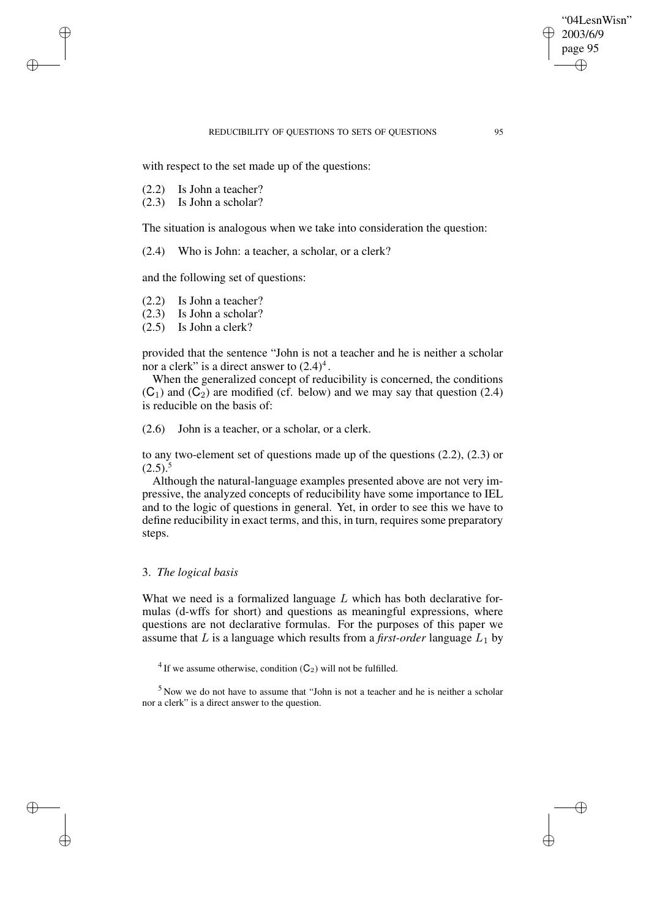### REDUCIBILITY OF OUESTIONS TO SETS OF OUESTIONS 95

with respect to the set made up of the questions:

(2.2) Is John a teacher?

✐

✐

✐

✐

(2.3) Is John a scholar?

The situation is analogous when we take into consideration the question:

(2.4) Who is John: a teacher, a scholar, or a clerk?

and the following set of questions:

- (2.2) Is John a teacher?
- (2.3) Is John a scholar?
- (2.5) Is John a clerk?

provided that the sentence "John is not a teacher and he is neither a scholar nor a clerk" is a direct answer to  $(2.4)^4$ .

When the generalized concept of reducibility is concerned, the conditions  $(C_1)$  and  $(C_2)$  are modified (cf. below) and we may say that question (2.4) is reducible on the basis of:

(2.6) John is a teacher, or a scholar, or a clerk.

to any two-element set of questions made up of the questions (2.2), (2.3) or  $(2.5).$ <sup>5</sup>

Although the natural-language examples presented above are not very impressive, the analyzed concepts of reducibility have some importance to IEL and to the logic of questions in general. Yet, in order to see this we have to define reducibility in exact terms, and this, in turn, requires some preparatory steps.

## 3. *The logical basis*

What we need is a formalized language  $L$  which has both declarative formulas (d-wffs for short) and questions as meaningful expressions, where questions are not declarative formulas. For the purposes of this paper we assume that L is a language which results from a *first-order* language  $L_1$  by

<sup>4</sup> If we assume otherwise, condition  $(C_2)$  will not be fulfilled.

<sup>5</sup> Now we do not have to assume that "John is not a teacher and he is neither a scholar nor a clerk" is a direct answer to the question.

"04LesnWisn" 2003/6/9 page 95

✐

✐

✐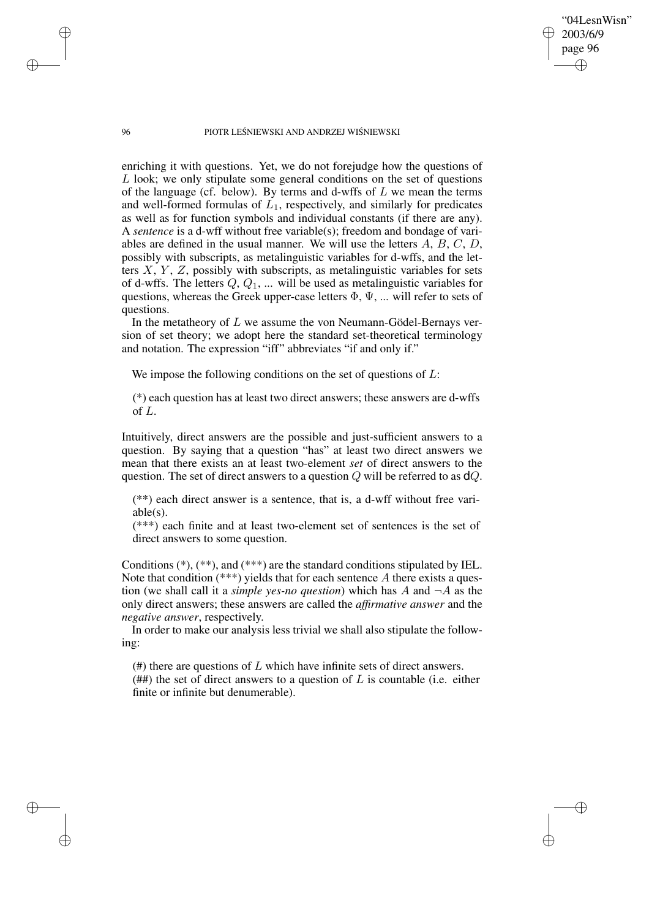96 PIOTR LEŚNIEWSKI AND ANDRZEJ WIŚNIEWSKI

"04LesnWisn" 2003/6/9 page 96

✐

✐

✐

✐

enriching it with questions. Yet, we do not forejudge how the questions of L look; we only stipulate some general conditions on the set of questions of the language (cf. below). By terms and d-wffs of  $L$  we mean the terms and well-formed formulas of  $L_1$ , respectively, and similarly for predicates as well as for function symbols and individual constants (if there are any). A *sentence* is a d-wff without free variable(s); freedom and bondage of variables are defined in the usual manner. We will use the letters A, B, C, D, possibly with subscripts, as metalinguistic variables for d-wffs, and the letters  $X, Y, Z$ , possibly with subscripts, as metalinguistic variables for sets of d-wffs. The letters  $Q, Q_1, \dots$  will be used as metalinguistic variables for questions, whereas the Greek upper-case letters  $\Phi$ ,  $\Psi$ , ... will refer to sets of questions.

In the metatheory of  $L$  we assume the von Neumann-Gödel-Bernays version of set theory; we adopt here the standard set-theoretical terminology and notation. The expression "iff" abbreviates "if and only if."

We impose the following conditions on the set of questions of  $L$ :

(\*) each question has at least two direct answers; these answers are d-wffs of L.

Intuitively, direct answers are the possible and just-sufficient answers to a question. By saying that a question "has" at least two direct answers we mean that there exists an at least two-element *set* of direct answers to the question. The set of direct answers to a question  $Q$  will be referred to as  $dQ$ .

(\*\*) each direct answer is a sentence, that is, a d-wff without free variable(s).

(\*\*\*) each finite and at least two-element set of sentences is the set of direct answers to some question.

Conditions (\*), (\*\*), and (\*\*\*) are the standard conditions stipulated by IEL. Note that condition  $(***)$  yields that for each sentence A there exists a question (we shall call it a *simple yes-no question*) which has A and  $\neg A$  as the only direct answers; these answers are called the *affirmative answer* and the *negative answer*, respectively.

In order to make our analysis less trivial we shall also stipulate the following:

 $(4)$  there are questions of L which have infinite sets of direct answers. (##) the set of direct answers to a question of  $L$  is countable (i.e. either finite or infinite but denumerable).

✐

✐

✐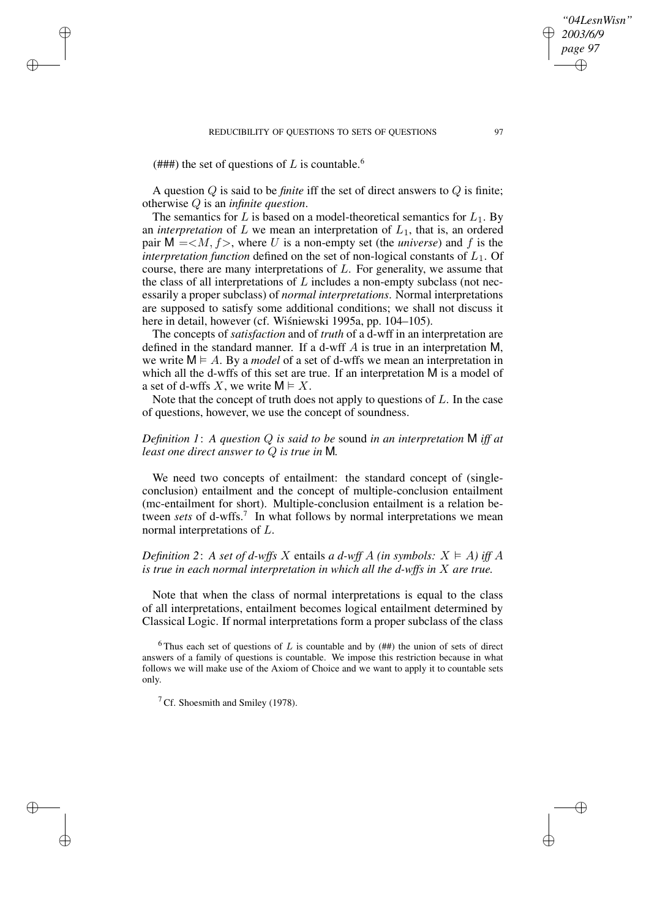#### REDUCIBILITY OF QUESTIONS TO SETS OF QUESTIONS 97

(###) the set of questions of L is countable.<sup>6</sup>

✐

✐

✐

✐

A question Q is said to be *finite* iff the set of direct answers to Q is finite; otherwise Q is an *infinite question*.

The semantics for L is based on a model-theoretical semantics for  $L_1$ . By an *interpretation* of  $L$  we mean an interpretation of  $L_1$ , that is, an ordered pair  $M = < M, f>$ , where U is a non-empty set (the *universe*) and f is the *interpretation function* defined on the set of non-logical constants of  $L_1$ . Of course, there are many interpretations of  $L$ . For generality, we assume that the class of all interpretations of  $L$  includes a non-empty subclass (not necessarily a proper subclass) of *normal interpretations*. Normal interpretations are supposed to satisfy some additional conditions; we shall not discuss it here in detail, however (cf. Wiśniewski 1995a, pp. 104–105).

The concepts of *satisfaction* and of *truth* of a d-wff in an interpretation are defined in the standard manner. If a d-wff A is true in an interpretation M, we write  $M \models A$ . By a *model* of a set of d-wffs we mean an interpretation in which all the d-wffs of this set are true. If an interpretation M is a model of a set of d-wffs X, we write  $M \models X$ .

Note that the concept of truth does not apply to questions of  $L$ . In the case of questions, however, we use the concept of soundness.

# *Definition 1*: *A question* Q *is said to be* sound *in an interpretation* M *iff at least one direct answer to* Q *is true in* M*.*

We need two concepts of entailment: the standard concept of (singleconclusion) entailment and the concept of multiple-conclusion entailment (mc-entailment for short). Multiple-conclusion entailment is a relation between *sets* of d-wffs.<sup>7</sup> In what follows by normal interpretations we mean normal interpretations of L.

# *Definition* 2: A *set of d-wffs* X entails *a d-wff* A *(in symbols:*  $X \models A$ ) *iff* A *is true in each normal interpretation in which all the d-wffs in* X *are true.*

Note that when the class of normal interpretations is equal to the class of all interpretations, entailment becomes logical entailment determined by Classical Logic. If normal interpretations form a proper subclass of the class

 $7^7$  Cf. Shoesmith and Smiley (1978).

*"04LesnWisn" 2003/6/9 page 97*

✐

✐

✐

<sup>&</sup>lt;sup>6</sup> Thus each set of questions of L is countable and by  $($ ##) the union of sets of direct answers of a family of questions is countable. We impose this restriction because in what follows we will make use of the Axiom of Choice and we want to apply it to countable sets only.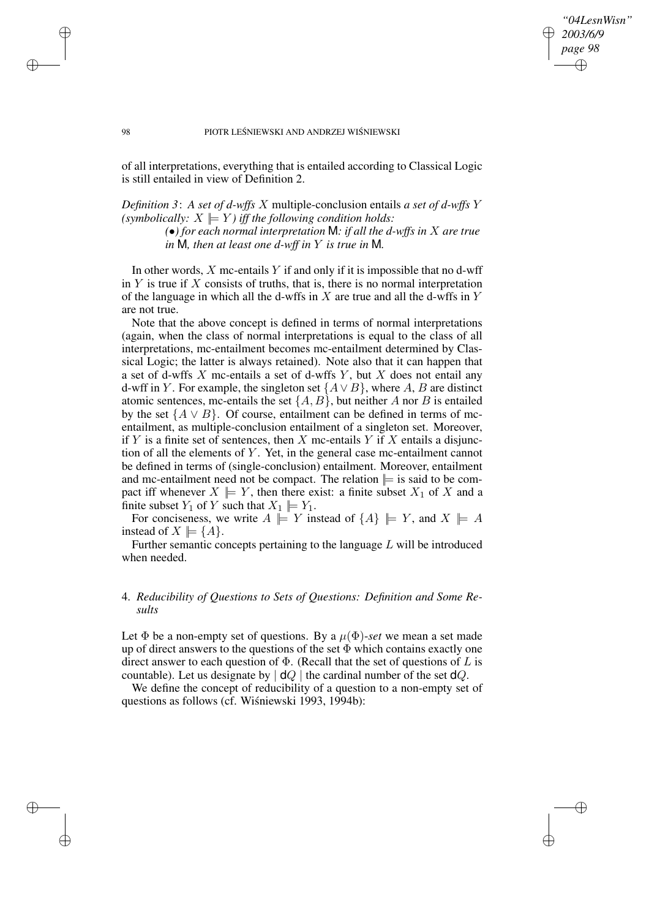*"04LesnWisn" 2003/6/9 page 98* ✐ ✐

✐

✐

#### 98 PIOTR LEŚNIEWSKI AND ANDRZEJ WIŚNIEWSKI

of all interpretations, everything that is entailed according to Classical Logic is still entailed in view of Definition 2.

*Definition 3*: *A set of d-wffs* X multiple-conclusion entails *a set of d-wffs* Y *(symbolically:*  $X \models Y$ *) iff the following condition holds:* 

> *(*•*) for each normal interpretation* M*: if all the d-wffs in* X *are true in* M*, then at least one d-wff in* Y *is true in* M*.*

In other words,  $X$  mc-entails  $Y$  if and only if it is impossible that no d-wff in  $Y$  is true if  $X$  consists of truths, that is, there is no normal interpretation of the language in which all the d-wffs in  $X$  are true and all the d-wffs in  $Y$ are not true.

Note that the above concept is defined in terms of normal interpretations (again, when the class of normal interpretations is equal to the class of all interpretations, mc-entailment becomes mc-entailment determined by Classical Logic; the latter is always retained). Note also that it can happen that a set of d-wffs  $X$  mc-entails a set of d-wffs  $Y$ , but  $X$  does not entail any d-wff in Y. For example, the singleton set  $\{A \vee B\}$ , where A, B are distinct atomic sentences, mc-entails the set  $\{A, B\}$ , but neither A nor B is entailed by the set  ${A \lor B}$ . Of course, entailment can be defined in terms of mcentailment, as multiple-conclusion entailment of a singleton set. Moreover, if Y is a finite set of sentences, then X mc-entails Y if X entails a disjunction of all the elements of  $Y$ . Yet, in the general case mc-entailment cannot be defined in terms of (single-conclusion) entailment. Moreover, entailment and mc-entailment need not be compact. The relation  $\equiv$  is said to be compact iff whenever  $X \models Y$ , then there exist: a finite subset  $X_1$  of X and a finite subset  $Y_1$  of Y such that  $X_1 \models Y_1$ .

For conciseness, we write  $A \models Y$  instead of  $\{A\} \models Y$ , and  $X \models A$ instead of  $X \models \{A\}.$ 

Further semantic concepts pertaining to the language  $L$  will be introduced when needed.

# 4. *Reducibility of Questions to Sets of Questions: Definition and Some Results*

Let  $\Phi$  be a non-empty set of questions. By a  $\mu(\Phi)$ -set we mean a set made up of direct answers to the questions of the set  $\Phi$  which contains exactly one direct answer to each question of  $\Phi$ . (Recall that the set of questions of L is countable). Let us designate by  $\vert dQ \vert$  the cardinal number of the set  $dQ$ .

We define the concept of reducibility of a question to a non-empty set of questions as follows (cf. Wiśniewski 1993, 1994b):

✐

✐

✐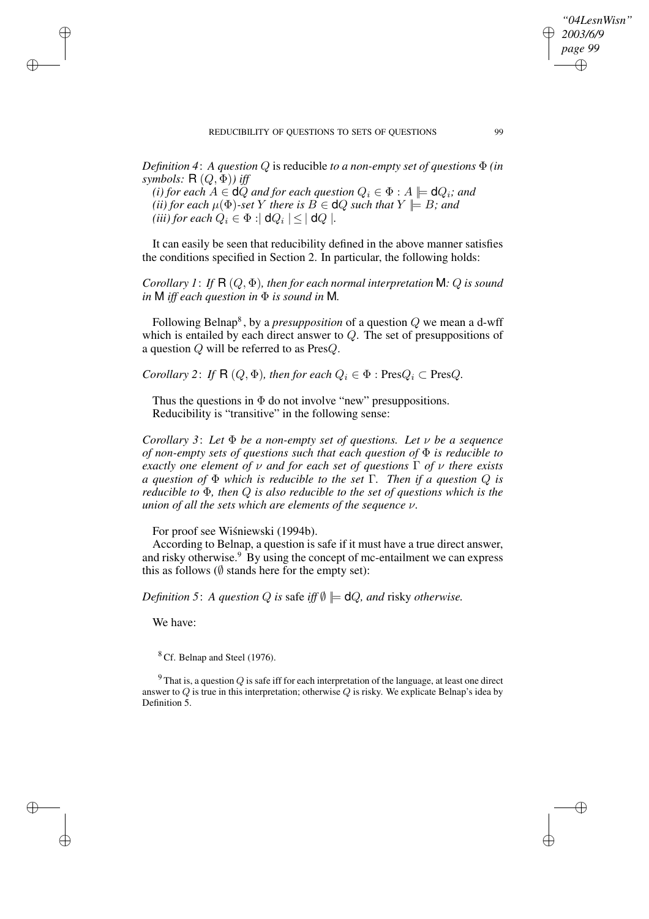*Definition 4*: *A question* Q is reducible *to a non-empty set of questions* Φ *(in*

*symbols:* R (Q, Φ)*) iff (i) for each*  $A \in \mathbf{d}Q$  *and for each question*  $Q_i \in \Phi : A \models \mathbf{d}Q_i$ *; and (ii) for each*  $\mu$  $(\Phi)$ *-set Y there is*  $B \in \mathsf{d}Q$  *such that*  $Y \models B$ *; and (iii)* for each  $Q_i \in \Phi : | \mathsf{d} Q_i | \leq | \mathsf{d} Q |$ .

It can easily be seen that reducibility defined in the above manner satisfies the conditions specified in Section 2. In particular, the following holds:

*Corollary 1*: *If* R (Q, Φ)*, then for each normal interpretation* M*:* Q *is sound in* M *iff each question in* Φ *is sound in* M*.*

Following Belnap<sup>8</sup>, by a *presupposition* of a question  $Q$  we mean a d-wff which is entailed by each direct answer to  $Q$ . The set of presuppositions of a question  $Q$  will be referred to as Pres $Q$ .

*Corollary* 2: *If*  $R(Q, \Phi)$ *, then for each*  $Q_i \in \Phi$  : Pres $Q_i \subset \text{Pres}Q$ *.* 

Thus the questions in  $\Phi$  do not involve "new" presuppositions. Reducibility is "transitive" in the following sense:

*Corollary 3*: *Let* Φ *be a non-empty set of questions. Let* ν *be a sequence of non-empty sets of questions such that each question of* Φ *is reducible to exactly one element of* ν *and for each set of questions* Γ *of* ν *there exists a question of* Φ *which is reducible to the set* Γ*. Then if a question* Q *is reducible to* Φ*, then* Q *is also reducible to the set of questions which is the union of all the sets which are elements of the sequence* ν*.*

For proof see Wiśniewski (1994b).

According to Belnap, a question is safe if it must have a true direct answer, and risky otherwise. $9$  By using the concept of mc-entailment we can express this as follows ( $\emptyset$  stands here for the empty set):

*Definition* 5: *A question*  $Q$  *is* safe *iff*  $\emptyset \models \mathsf{d}Q$ *, and* risky *otherwise.* 

We have:

✐

✐

✐

✐

 $8$  Cf. Belnap and Steel (1976).

<sup>9</sup> That is, a question  $Q$  is safe iff for each interpretation of the language, at least one direct answer to  $Q$  is true in this interpretation; otherwise  $Q$  is risky. We explicate Belnap's idea by Definition 5.

*"04LesnWisn" 2003/6/9 page 99*

✐

✐

✐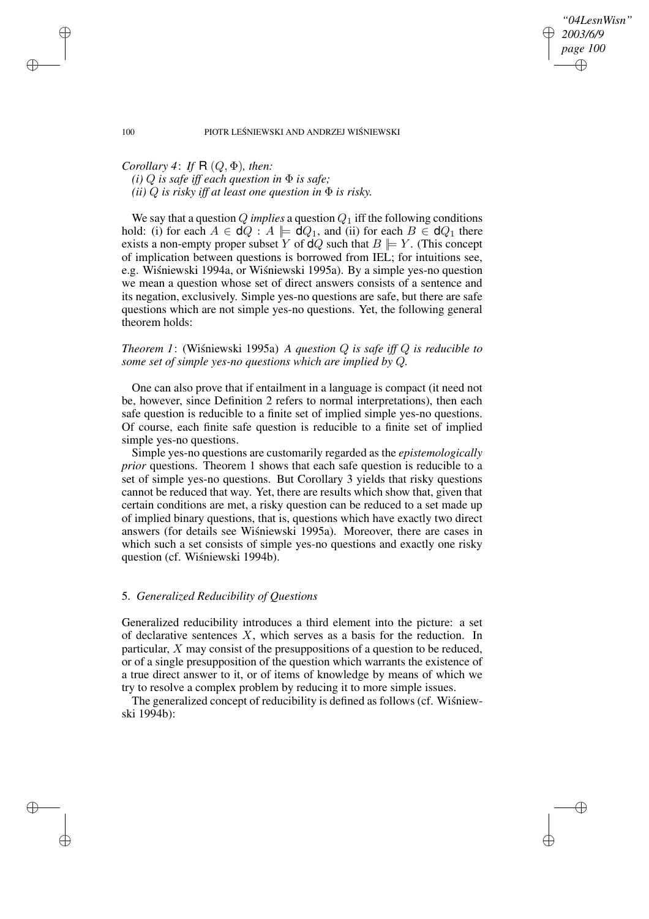*"04LesnWisn" 2003/6/9 page 100* ✐ ✐

✐

✐

#### 100 PIOTR LEŚNIEWSKI AND ANDRZEJ WIŚNIEWSKI

*Corollary* 4: *If*  $R(Q, \Phi)$ *, then:*  $(i) Q$  *is safe iff each question in*  $\Phi$  *is safe; (ii)*  $Q$  *is risky iff at least one question in*  $\Phi$  *is risky.* 

We say that a question  $Q$  *implies* a question  $Q_1$  iff the following conditions hold: (i) for each  $A \in \mathsf{d}Q$ :  $A \models \mathsf{d}Q_1$ , and (ii) for each  $B \in \mathsf{d}Q_1$  there exists a non-empty proper subset Y of  $dQ$  such that  $B \models Y$ . (This concept of implication between questions is borrowed from IEL; for intuitions see, e.g. Wiśniewski 1994a, or Wiśniewski 1995a). By a simple yes-no question we mean a question whose set of direct answers consists of a sentence and its negation, exclusively. Simple yes-no questions are safe, but there are safe questions which are not simple yes-no questions. Yet, the following general theorem holds:

*Theorem 1*: (Wisniewski 1995a) *A question*  $Q$  *is safe iff*  $Q$  *is reducible to some set of simple yes-no questions which are implied by* Q*.*

One can also prove that if entailment in a language is compact (it need not be, however, since Definition 2 refers to normal interpretations), then each safe question is reducible to a finite set of implied simple yes-no questions. Of course, each finite safe question is reducible to a finite set of implied simple yes-no questions.

Simple yes-no questions are customarily regarded as the *epistemologically prior* questions. Theorem 1 shows that each safe question is reducible to a set of simple yes-no questions. But Corollary 3 yields that risky questions cannot be reduced that way. Yet, there are results which show that, given that certain conditions are met, a risky question can be reduced to a set made up of implied binary questions, that is, questions which have exactly two direct answers (for details see Wiśniewski 1995a). Moreover, there are cases in which such a set consists of simple yes-no questions and exactly one risky question (cf. Wiśniewski 1994b).

### 5. *Generalized Reducibility of Questions*

Generalized reducibility introduces a third element into the picture: a set of declarative sentences  $X$ , which serves as a basis for the reduction. In particular, X may consist of the presuppositions of a question to be reduced, or of a single presupposition of the question which warrants the existence of a true direct answer to it, or of items of knowledge by means of which we try to resolve a complex problem by reducing it to more simple issues.

The generalized concept of reducibility is defined as follows (cf. Wisniewski 1994b):

✐

✐

✐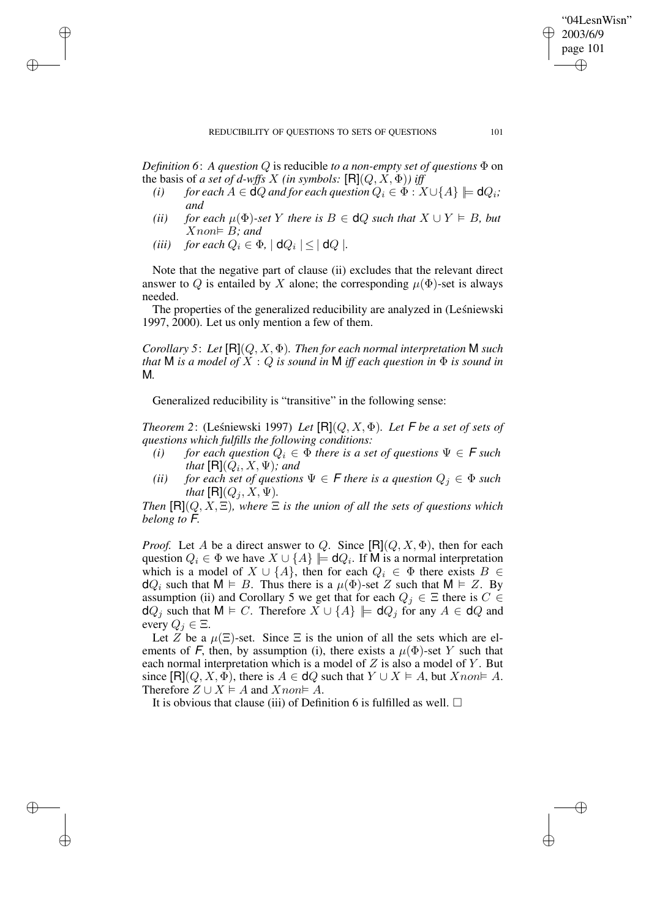*Definition* 6: *A question*  $Q$  *is reducible to a non-empty set of questions*  $\Phi$  on the basis of *a set of d-wffs X (in symbols:*  $[{\bf R}](Q, X, \Phi)$ ) *iff* 

- *(i) for each*  $A \in \mathbf{d}Q$  *and for each question*  $Q_i \in \Phi : X \cup \{A\} \models \mathbf{d}Q_i$ ; *and*
- *(ii) for each*  $\mu$  $(\Phi)$ *-set* Y *there is*  $B \in \mathsf{d}Q$  *such that*  $X \cup Y \models B$ *, but*  $X$ *non* $\models$  *B;* and
- *(iii) for each*  $Q_i \in \Phi$ ,  $| \mathsf{d} Q_i | \leq | \mathsf{d} Q |$ .

✐

✐

✐

✐

Note that the negative part of clause (ii) excludes that the relevant direct answer to Q is entailed by X alone; the corresponding  $\mu(\Phi)$ -set is always needed.

The properties of the generalized reducibility are analyzed in (Leśniewski 1997, 2000). Let us only mention a few of them.

*Corollary 5*: *Let* [R](Q, X, Φ)*. Then for each normal interpretation* M *such that* **M** *is a model of*  $X : Q$  *is sound in* **M** *iff each question in*  $\Phi$  *is sound in* M*.*

Generalized reducibility is "transitive" in the following sense:

*Theorem* 2: (Leśniewski 1997) *Let*  $[**R**](Q, X, \Phi)$ *. Let*  $\mathsf{F}$  *be a set of sets of questions which fulfills the following conditions:*

- *(i) for each question*  $Q_i \in \Phi$  *there is a set of questions*  $\Psi \in \mathcal{F}$  *such* that  $[\mathsf{R}](Q_i,X,\Psi)$ ; and
- *(ii) for each set of questions*  $\Psi \in F$  *there is a question*  $Q_j \in \Phi$  *such that*  $[R](Q_i, X, \Psi)$ *.*

*Then*  $[\mathsf{R}](Q, X, \Xi)$ *, where*  $\Xi$  *is the union of all the sets of questions which belong to* F*.*

*Proof.* Let A be a direct answer to Q. Since  $[{\bf R}](Q, X, \Phi)$ , then for each question  $Q_i \in \Phi$  we have  $X \cup \{A\} \models \mathsf{d}Q_i$ . If M is a normal interpretation which is a model of  $X \cup \{A\}$ , then for each  $Q_i \in \Phi$  there exists  $B \in$  $dQ_i$  such that  $M \vDash B$ . Thus there is a  $\mu(\Phi)$ -set Z such that  $M \vDash Z$ . By assumption (ii) and Corollary 5 we get that for each  $Q_j \in \Xi$  there is  $C \in$  $dQ_j$  such that  $M \models C$ . Therefore  $X \cup \{A\} \models dQ_j$  for any  $A \in dQ$  and every  $Q_i \in \Xi$ .

Let Z be a  $\mu(\Xi)$ -set. Since  $\Xi$  is the union of all the sets which are elements of F, then, by assumption (i), there exists a  $\mu(\Phi)$ -set Y such that each normal interpretation which is a model of  $Z$  is also a model of  $Y$ . But since  $[\mathsf{R}](Q, X, \Phi)$ , there is  $A \in \mathsf{d}Q$  such that  $Y \cup X \models A$ , but  $X$ non  $A$ . Therefore  $Z \cup X \models A$  and  $X non \models A$ .

It is obvious that clause (iii) of Definition 6 is fulfilled as well.  $\Box$ 

"04LesnWisn" 2003/6/9 page 101

✐

✐

✐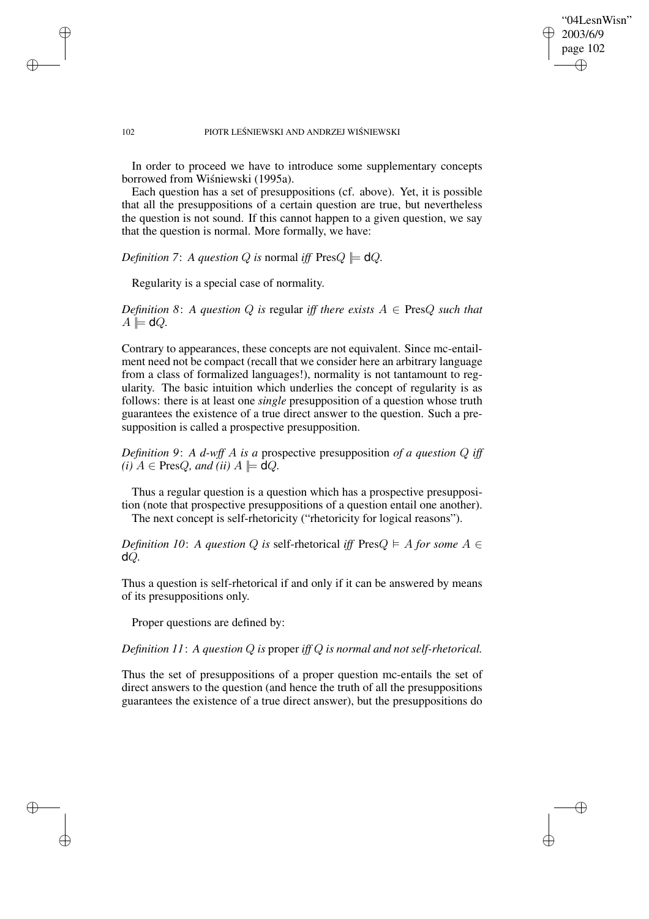### "04LesnWisn" 2003/6/9 page 102 ✐ ✐

✐

✐

### 102 PIOTR LEŚNIEWSKI AND ANDRZEJ WIŚNIEWSKI

In order to proceed we have to introduce some supplementary concepts borrowed from Wiśniewski (1995a).

Each question has a set of presuppositions (cf. above). Yet, it is possible that all the presuppositions of a certain question are true, but nevertheless the question is not sound. If this cannot happen to a given question, we say that the question is normal. More formally, we have:

*Definition* 7: *A question Q is* normal *iff*  $PresQ \models dQ$ .

Regularity is a special case of normality.

✐

✐

✐

✐

*Definition* 8: *A question*  $Q$  *is* regular *iff there exists*  $A \in \text{Pres}Q$  *such that*  $A \models dQ.$ 

Contrary to appearances, these concepts are not equivalent. Since mc-entailment need not be compact (recall that we consider here an arbitrary language from a class of formalized languages!), normality is not tantamount to regularity. The basic intuition which underlies the concept of regularity is as follows: there is at least one *single* presupposition of a question whose truth guarantees the existence of a true direct answer to the question. Such a presupposition is called a prospective presupposition.

*Definition 9*: *A d-wff* A *is a* prospective presupposition *of a question* Q *iff*  $(i)$   $A \in \text{Pres}Q$ *, and*  $(ii)$   $A \models \text{d}Q$ *.* 

Thus a regular question is a question which has a prospective presupposition (note that prospective presuppositions of a question entail one another). The next concept is self-rhetoricity ("rhetoricity for logical reasons").

*Definition* 10: *A question* Q *is* self-rhetorical *iff* Pres $Q \models A$  *for some*  $A \in$ dQ*.*

Thus a question is self-rhetorical if and only if it can be answered by means of its presuppositions only.

Proper questions are defined by:

*Definition 11*: *A question* Q *is* proper *iff* Q *is normal and not self-rhetorical.*

Thus the set of presuppositions of a proper question mc-entails the set of direct answers to the question (and hence the truth of all the presuppositions guarantees the existence of a true direct answer), but the presuppositions do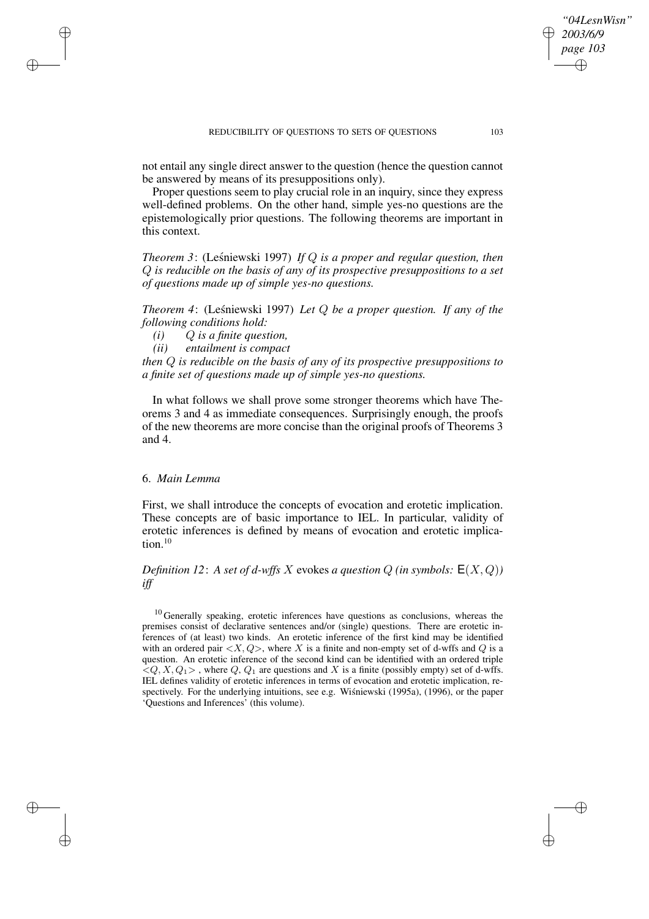not entail any single direct answer to the question (hence the question cannot be answered by means of its presuppositions only).

Proper questions seem to play crucial role in an inquiry, since they express well-defined problems. On the other hand, simple yes-no questions are the epistemologically prior questions. The following theorems are important in this context.

*Theorem* 3: (Leśniewski 1997) *If* Q *is a proper and regular question, then* Q *is reducible on the basis of any of its prospective presuppositions to a set of questions made up of simple yes-no questions.*

*Theorem* 4: (Lesniewski 1997) *Let Q be a proper question. If any of the following conditions hold:*

*(i)* Q *is a finite question,*

*(ii) entailment is compact*

*then* Q *is reducible on the basis of any of its prospective presuppositions to a finite set of questions made up of simple yes-no questions.*

In what follows we shall prove some stronger theorems which have Theorems 3 and 4 as immediate consequences. Surprisingly enough, the proofs of the new theorems are more concise than the original proofs of Theorems 3 and 4.

## 6. *Main Lemma*

 $\rightarrow$ 

 $\rightarrow$ 

✐

✐

First, we shall introduce the concepts of evocation and erotetic implication. These concepts are of basic importance to IEL. In particular, validity of erotetic inferences is defined by means of evocation and erotetic implication.<sup>10</sup>

*Definition* 12: *A set of d-wffs* X evokes *a question*  $Q$  *(in symbols:*  $E(X, Q)$ ) *iff*

 $10$  Generally speaking, erotetic inferences have questions as conclusions, whereas the premises consist of declarative sentences and/or (single) questions. There are erotetic inferences of (at least) two kinds. An erotetic inference of the first kind may be identified with an ordered pair  $\langle X, Q \rangle$ , where X is a finite and non-empty set of d-wffs and Q is a question. An erotetic inference of the second kind can be identified with an ordered triple  $\langle Q, X, Q_1 \rangle$ , where Q, Q<sub>1</sub> are questions and X is a finite (possibly empty) set of d-wffs. IEL defines validity of erotetic inferences in terms of evocation and erotetic implication, respectively. For the underlying intuitions, see e.g. Wisniewski (1995a), (1996), or the paper 'Questions and Inferences' (this volume).

*"04LesnWisn" 2003/6/9 page 103*

✐

✐

✐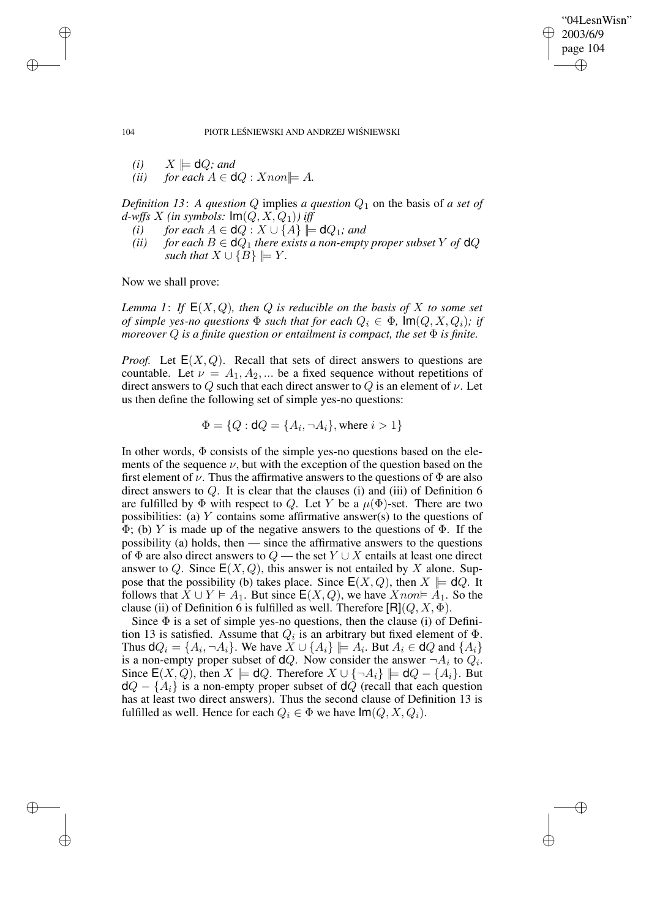✐

✐

104 PIOTR LEŚNIEWSKI AND ANDRZEJ WIŚNIEWSKI

- $(i)$   $X \models \mathsf{d}Q$ *; and*
- *(ii) for each*  $A \in \mathbf{d}Q : X \text{ non} \models A$ .

*Definition* 13: A *question* Q implies *a question*  $Q_1$  on the basis of *a set of d*-wffs X (in symbols:  $Im(Q, X, Q_1)$ ) iff

- *(i) for each*  $A \in \mathsf{d}Q : X \cup \{A\} \models \mathsf{d}Q_1$ *; and*
- *(ii) for each*  $B \in \mathbf{d}Q_1$  *there exists a non-empty proper subset* Y *of*  $\mathbf{d}Q$ *such that*  $X \cup \{B\} \models Y$ *.*

Now we shall prove:

*Lemma* 1: If  $E(X, Q)$ , then Q is reducible on the basis of X to some set *of* simple yes-no questions  $\Phi$  such that for each  $Q_i \in \Phi$ ,  $\text{Im}(Q, X, Q_i)$ ; if *moreover* Q *is a finite question or entailment is compact, the set* Φ *is finite.*

*Proof.* Let  $E(X, Q)$ . Recall that sets of direct answers to questions are countable. Let  $\nu = A_1, A_2, ...$  be a fixed sequence without repetitions of direct answers to Q such that each direct answer to Q is an element of  $\nu$ . Let us then define the following set of simple yes-no questions:

 $\Phi = \{Q : \mathsf{d} Q = \{A_i, \neg A_i\}$ , where  $i > 1\}$ 

In other words,  $\Phi$  consists of the simple yes-no questions based on the elements of the sequence  $\nu$ , but with the exception of the question based on the first element of  $\nu$ . Thus the affirmative answers to the questions of  $\Phi$  are also direct answers to  $Q$ . It is clear that the clauses (i) and (iii) of Definition 6 are fulfilled by  $\Phi$  with respect to Q. Let Y be a  $\mu(\Phi)$ -set. There are two possibilities: (a) Y contains some affirmative answer(s) to the questions of  $\Phi$ ; (b) Y is made up of the negative answers to the questions of  $\Phi$ . If the possibility (a) holds, then — since the affirmative answers to the questions of  $\Phi$  are also direct answers to  $Q$  — the set  $Y \cup X$  entails at least one direct answer to Q. Since  $E(X, Q)$ , this answer is not entailed by X alone. Suppose that the possibility (b) takes place. Since  $E(X, Q)$ , then  $X \models dQ$ . It follows that  $X \cup Y \models A_1$ . But since  $E(X, Q)$ , we have  $X$ non  $A_1$ . So the clause (ii) of Definition 6 is fulfilled as well. Therefore  $|R|(Q, X, \Phi)$ .

Since  $\Phi$  is a set of simple yes-no questions, then the clause (i) of Definition 13 is satisfied. Assume that  $Q_i$  is an arbitrary but fixed element of  $\Phi$ . Thus  $\mathsf{d}Q_i = \{A_i, \neg A_i\}$ . We have  $X \cup \{A_i\} \models A_i$ . But  $A_i \in \mathsf{d}Q$  and  $\{A_i\}$ is a non-empty proper subset of  $dQ$ . Now consider the answer  $\neg A_i$  to  $Q_i$ . Since  $E(X, Q)$ , then  $X \models \mathsf{d}Q$ . Therefore  $X \cup \{\neg A_i\} \models \mathsf{d}Q - \{A_i\}$ . But  $dQ - \{A_i\}$  is a non-empty proper subset of  $dQ$  (recall that each question has at least two direct answers). Thus the second clause of Definition 13 is fulfilled as well. Hence for each  $Q_i \in \Phi$  we have  $\text{Im}(Q, X, Q_i)$ .

 $\rightarrow$ 

 $\rightarrow$ 

✐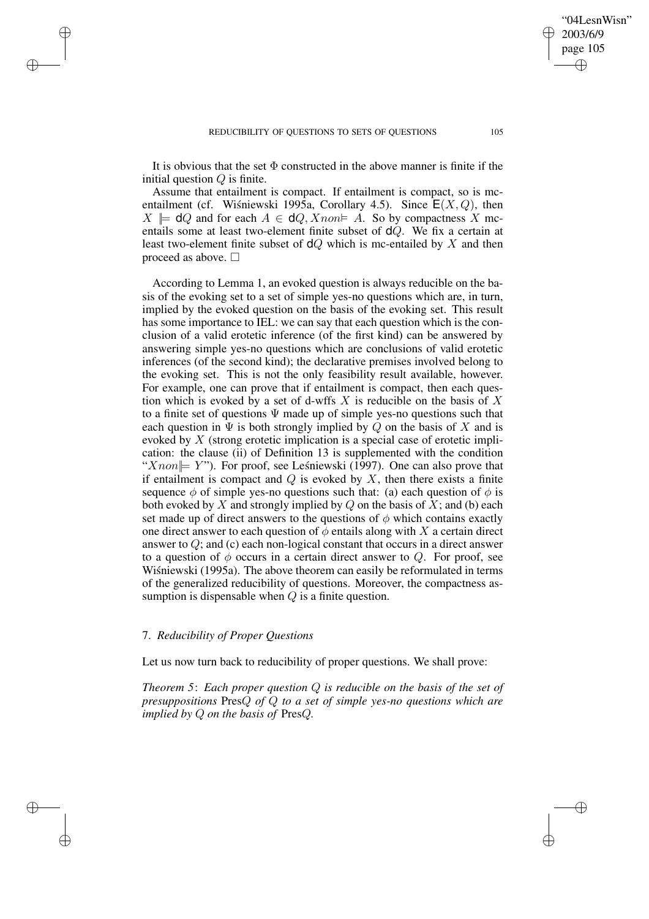$\rightarrow$ 

 $\rightarrow$ 

✐

✐

It is obvious that the set  $\Phi$  constructed in the above manner is finite if the initial question  $Q$  is finite.

Assume that entailment is compact. If entailment is compact, so is mcentailment (cf. Wisniewski 1995a, Corollary 4.5). Since  $E(X, Q)$ , then  $X \models \mathsf{d}Q$  and for each  $A \in \mathsf{d}Q$ ,  $X$ non  $\models A$ . So by compactness X mcentails some at least two-element finite subset of dQ. We fix a certain at least two-element finite subset of  $dQ$  which is mc-entailed by X and then proceed as above.  $\Box$ 

According to Lemma 1, an evoked question is always reducible on the basis of the evoking set to a set of simple yes-no questions which are, in turn, implied by the evoked question on the basis of the evoking set. This result has some importance to IEL: we can say that each question which is the conclusion of a valid erotetic inference (of the first kind) can be answered by answering simple yes-no questions which are conclusions of valid erotetic inferences (of the second kind); the declarative premises involved belong to the evoking set. This is not the only feasibility result available, however. For example, one can prove that if entailment is compact, then each question which is evoked by a set of d-wffs X is reducible on the basis of X to a finite set of questions  $\Psi$  made up of simple yes-no questions such that each question in  $\Psi$  is both strongly implied by Q on the basis of X and is evoked by X (strong erotetic implication is a special case of erotetic implication: the clause (ii) of Definition 13 is supplemented with the condition " $X non \Vdash Y$ "). For proof, see Leśniewski (1997). One can also prove that if entailment is compact and  $Q$  is evoked by  $X$ , then there exists a finite sequence  $\phi$  of simple yes-no questions such that: (a) each question of  $\phi$  is both evoked by X and strongly implied by  $Q$  on the basis of X; and (b) each set made up of direct answers to the questions of  $\phi$  which contains exactly one direct answer to each question of  $\phi$  entails along with X a certain direct answer to  $Q$ ; and (c) each non-logical constant that occurs in a direct answer to a question of  $\phi$  occurs in a certain direct answer to Q. For proof, see Wiśniewski (1995a). The above theorem can easily be reformulated in terms of the generalized reducibility of questions. Moreover, the compactness assumption is dispensable when  $Q$  is a finite question.

### 7. *Reducibility of Proper Questions*

Let us now turn back to reducibility of proper questions. We shall prove:

*Theorem 5*: *Each proper question* Q *is reducible on the basis of the set of presuppositions* PresQ *of* Q *to a set of simple yes-no questions which are implied by* Q *on the basis of* PresQ*.*

"04LesnWisn" 2003/6/9 page 105

✐

✐

✐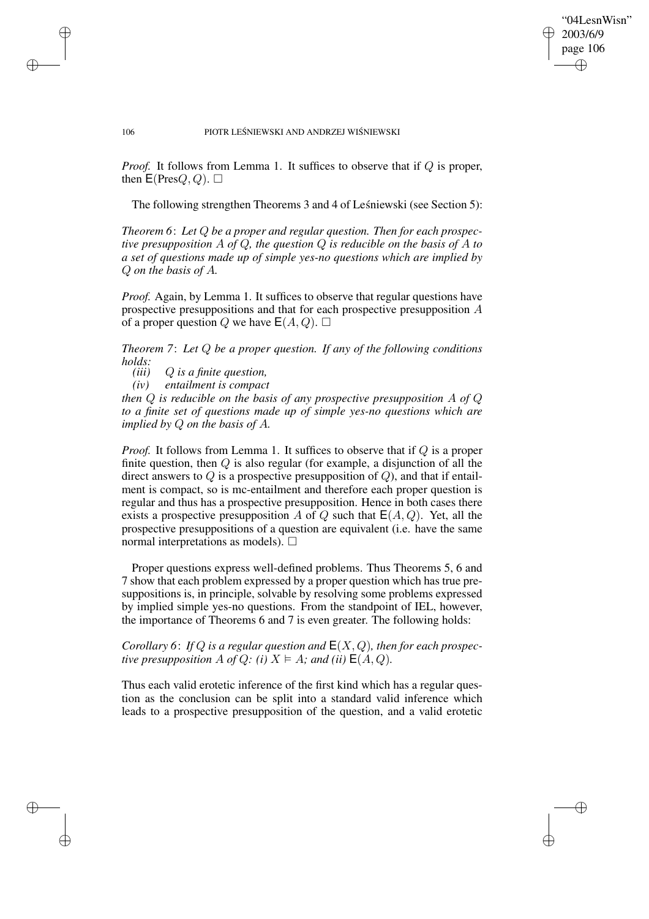✐

✐

#### 106 PIOTR LEŚNIEWSKI AND ANDRZEJ WIŚNIEWSKI

*Proof.* It follows from Lemma 1. It suffices to observe that if Q is proper, then  $E(PresQ, Q)$ .  $\Box$ 

The following strengthen Theorems 3 and 4 of Lesnie wski (see Section 5):

*Theorem 6*: *Let* Q *be a proper and regular question. Then for each prospective presupposition* A *of* Q*, the question* Q *is reducible on the basis of* A *to a set of questions made up of simple yes-no questions which are implied by* Q *on the basis of* A*.*

*Proof.* Again, by Lemma 1. It suffices to observe that regular questions have prospective presuppositions and that for each prospective presupposition A of a proper question Q we have  $E(A, Q)$ .  $\Box$ 

*Theorem 7*: *Let* Q *be a proper question. If any of the following conditions holds:*

*(iii)* Q *is a finite question,*

 $\rightarrow$ 

 $\rightarrow$ 

✐

✐

*(iv) entailment is compact*

*then* Q *is reducible on the basis of any prospective presupposition* A *of* Q *to a finite set of questions made up of simple yes-no questions which are implied by* Q *on the basis of* A*.*

*Proof.* It follows from Lemma 1. It suffices to observe that if Q is a proper finite question, then  $Q$  is also regular (for example, a disjunction of all the direct answers to  $Q$  is a prospective presupposition of  $Q$ ), and that if entailment is compact, so is mc-entailment and therefore each proper question is regular and thus has a prospective presupposition. Hence in both cases there exists a prospective presupposition A of Q such that  $E(A, Q)$ . Yet, all the prospective presuppositions of a question are equivalent (i.e. have the same normal interpretations as models).  $\square$ 

Proper questions express well-defined problems. Thus Theorems 5, 6 and 7 show that each problem expressed by a proper question which has true presuppositions is, in principle, solvable by resolving some problems expressed by implied simple yes-no questions. From the standpoint of IEL, however, the importance of Theorems 6 and 7 is even greater. The following holds:

*Corollary* 6: *If* Q *is a regular question and*  $E(X, Q)$ *, then for each prospective* presupposition A of Q: (i)  $X \models A$ *;* and (ii)  $E(A, Q)$ .

Thus each valid erotetic inference of the first kind which has a regular question as the conclusion can be split into a standard valid inference which leads to a prospective presupposition of the question, and a valid erotetic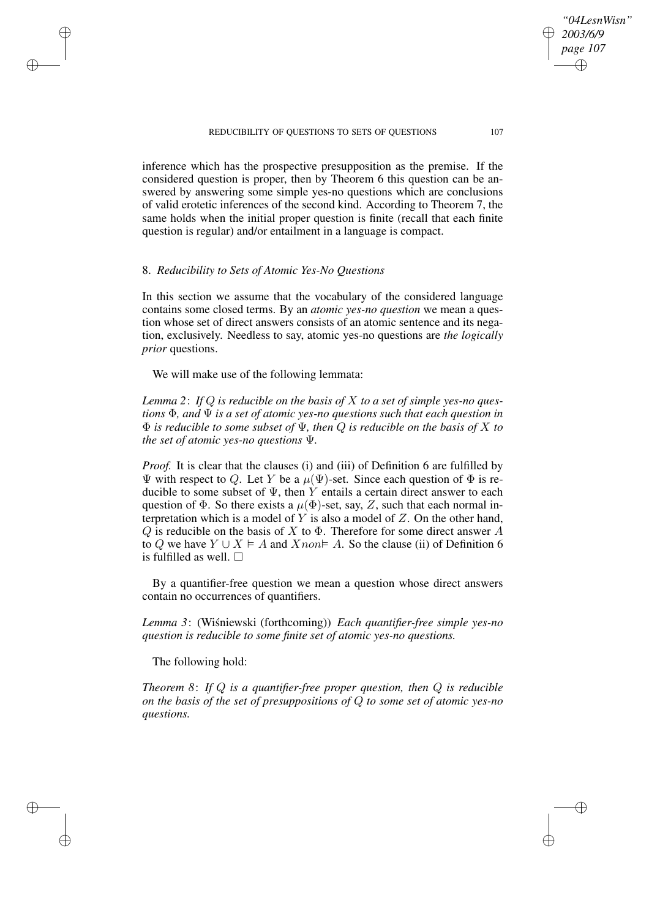#### REDUCIBILITY OF QUESTIONS TO SETS OF QUESTIONS 107

inference which has the prospective presupposition as the premise. If the considered question is proper, then by Theorem 6 this question can be answered by answering some simple yes-no questions which are conclusions of valid erotetic inferences of the second kind. According to Theorem 7, the same holds when the initial proper question is finite (recall that each finite question is regular) and/or entailment in a language is compact.

### 8. *Reducibility to Sets of Atomic Yes-No Questions*

 $\rightarrow$ 

 $\rightarrow$ 

✐

✐

In this section we assume that the vocabulary of the considered language contains some closed terms. By an *atomic yes-no question* we mean a question whose set of direct answers consists of an atomic sentence and its negation, exclusively. Needless to say, atomic yes-no questions are *the logically prior* questions.

We will make use of the following lemmata:

*Lemma 2*: *If* Q *is reducible on the basis of* X *to a set of simple yes-no questions* Φ*, and* Ψ *is a set of atomic yes-no questions such that each question in* Φ *is reducible to some subset of* Ψ*, then* Q *is reducible on the basis of* X *to the set of atomic yes-no questions* Ψ*.*

*Proof.* It is clear that the clauses (i) and (iii) of Definition 6 are fulfilled by Ψ with respect to Q. Let Y be a  $\mu(\Psi)$ -set. Since each question of  $\Phi$  is reducible to some subset of  $\Psi$ , then Y entails a certain direct answer to each question of  $\Phi$ . So there exists a  $\mu(\Phi)$ -set, say, Z, such that each normal interpretation which is a model of  $Y$  is also a model of  $Z$ . On the other hand,  $Q$  is reducible on the basis of X to  $\Phi$ . Therefore for some direct answer A to Q we have  $Y \cup X \models A$  and  $X$ non  $A$ . So the clause (ii) of Definition 6 is fulfilled as well.  $\square$ 

By a quantifier-free question we mean a question whose direct answers contain no occurrences of quantifiers.

*Lemma* 3: (Wiśniewski (forthcoming)) *Each quantifier-free simple yes-no question is reducible to some finite set of atomic yes-no questions.*

The following hold:

*Theorem 8*: *If* Q *is a quantifier-free proper question, then* Q *is reducible on the basis of the set of presuppositions of* Q *to some set of atomic yes-no questions.*

*"04LesnWisn" 2003/6/9 page 107*

✐

✐

✐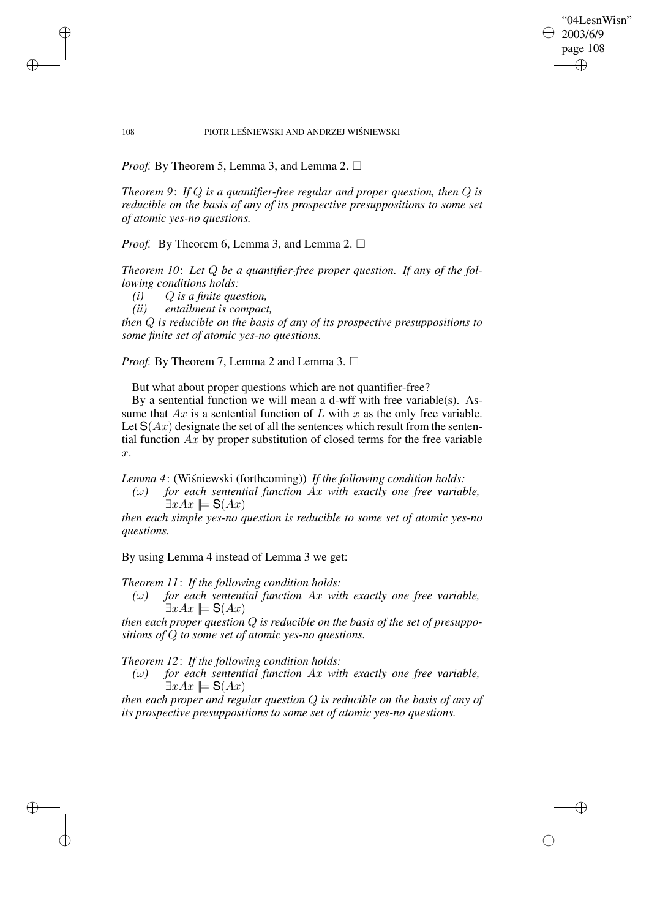"04LesnWisn" 2003/6/9 page 108 ✐ ✐

✐

✐

#### 108 PIOTR LEŚNIEWSKI AND ANDRZEJ WIŚNIEWSKI

*Proof.* By Theorem 5, Lemma 3, and Lemma 2.  $\Box$ 

*Theorem 9*: *If* Q *is a quantifier-free regular and proper question, then* Q *is reducible on the basis of any of its prospective presuppositions to some set of atomic yes-no questions.*

*Proof.* By Theorem 6, Lemma 3, and Lemma 2. □

*Theorem 10*: *Let* Q *be a quantifier-free proper question. If any of the following conditions holds:*

*(i)* Q *is a finite question,*

 $\rightarrow$ 

 $\rightarrow$ 

✐

✐

*(ii) entailment is compact,*

*then* Q *is reducible on the basis of any of its prospective presuppositions to some finite set of atomic yes-no questions.*

*Proof.* By Theorem 7, Lemma 2 and Lemma 3. □

But what about proper questions which are not quantifier-free?

By a sentential function we will mean a d-wff with free variable(s). Assume that  $Ax$  is a sentential function of  $L$  with  $x$  as the only free variable. Let  $S(Ax)$  designate the set of all the sentences which result from the sentential function  $Ax$  by proper substitution of closed terms for the free variable x.

*Lemma* 4: (Wiśniewski (forthcoming)) *If the following condition holds:* 

*(*ω*) for each sentential function* Ax *with exactly one free variable,*  $\exists x Ax \models S(Ax)$ 

*then each simple yes-no question is reducible to some set of atomic yes-no questions.*

By using Lemma 4 instead of Lemma 3 we get:

*Theorem 11*: *If the following condition holds:*

 $(\omega)$  *for each sentential function Ax with exactly one free variable,*  $\exists x Ax \models S(Ax)$ 

*then each proper question* Q *is reducible on the basis of the set of presuppositions of* Q *to some set of atomic yes-no questions.*

*Theorem 12*: *If the following condition holds:*

*(*ω*) for each sentential function* Ax *with exactly one free variable,*  $\exists x Ax \models S(Ax)$ 

*then each proper and regular question* Q *is reducible on the basis of any of its prospective presuppositions to some set of atomic yes-no questions.*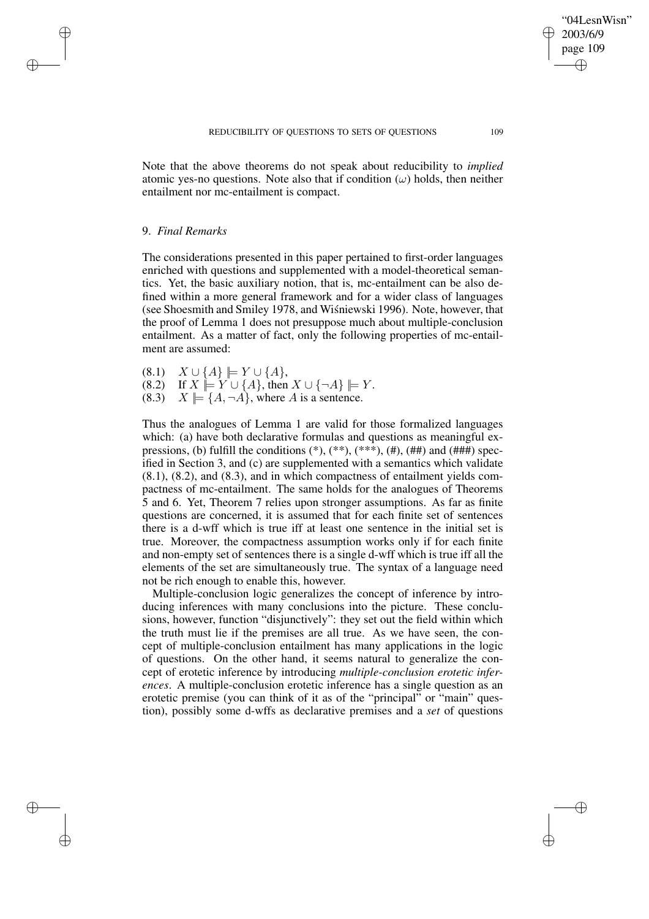Note that the above theorems do not speak about reducibility to *implied* atomic yes-no questions. Note also that if condition  $(\omega)$  holds, then neither entailment nor mc-entailment is compact.

### 9. *Final Remarks*

 $\rightarrow$ 

 $\rightarrow$ 

✐

✐

The considerations presented in this paper pertained to first-order languages enriched with questions and supplemented with a model-theoretical semantics. Yet, the basic auxiliary notion, that is, mc-entailment can be also defined within a more general framework and for a wider class of languages (see Shoesmith and Smiley 1978, and Wisniewski 1996). Note, however, that the proof of Lemma 1 does not presuppose much about multiple-conclusion entailment. As a matter of fact, only the following properties of mc-entailment are assumed:

(8.1)  $X \cup \{A\}$   $\models Y \cup \{A\},\$  $(8.2)$  If  $X \models Y \cup \{A\}$ , then  $X \cup \{\neg A\} \models Y$ . (8.3)  $X \models \{A, \neg A\}$ , where A is a sentence.

Thus the analogues of Lemma 1 are valid for those formalized languages which: (a) have both declarative formulas and questions as meaningful expressions, (b) fulfill the conditions  $(*), (**, (**, (**, *, *, *, #))$  and  $(*##)$  specified in Section 3, and (c) are supplemented with a semantics which validate (8.1), (8.2), and (8.3), and in which compactness of entailment yields compactness of mc-entailment. The same holds for the analogues of Theorems 5 and 6. Yet, Theorem 7 relies upon stronger assumptions. As far as finite questions are concerned, it is assumed that for each finite set of sentences there is a d-wff which is true iff at least one sentence in the initial set is true. Moreover, the compactness assumption works only if for each finite and non-empty set of sentences there is a single d-wff which is true iff all the elements of the set are simultaneously true. The syntax of a language need not be rich enough to enable this, however.

Multiple-conclusion logic generalizes the concept of inference by introducing inferences with many conclusions into the picture. These conclusions, however, function "disjunctively": they set out the field within which the truth must lie if the premises are all true. As we have seen, the concept of multiple-conclusion entailment has many applications in the logic of questions. On the other hand, it seems natural to generalize the concept of erotetic inference by introducing *multiple-conclusion erotetic inferences*. A multiple-conclusion erotetic inference has a single question as an erotetic premise (you can think of it as of the "principal" or "main" question), possibly some d-wffs as declarative premises and a *set* of questions

"04LesnWisn" 2003/6/9 page 109

✐

✐

✐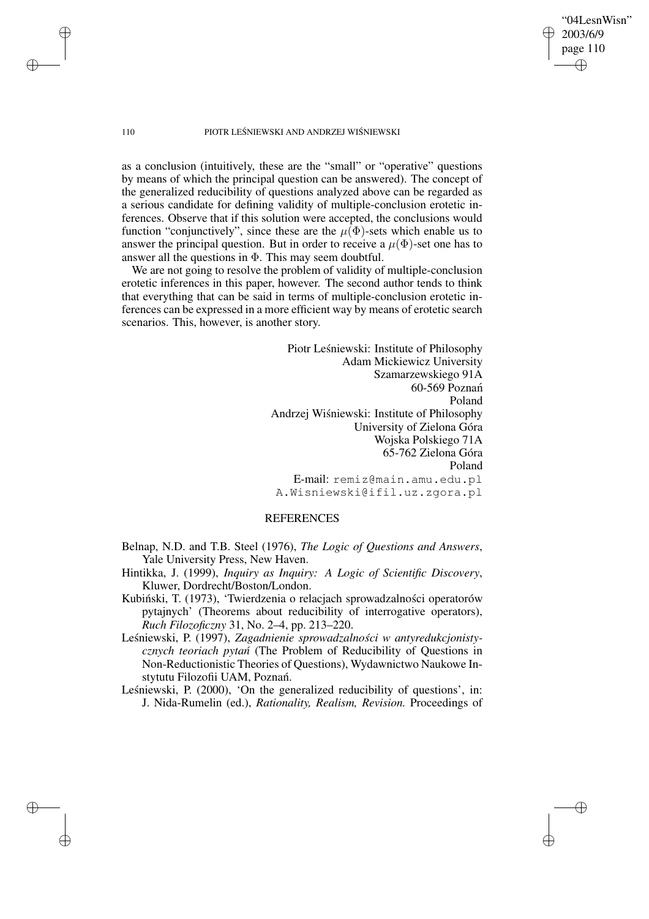"04LesnWisn" 2003/6/9 page 110 ✐ ✐

✐

✐

#### 110 PIOTR LEŚNIEWSKI AND ANDRZEJ WIŚNIEWSKI

as a conclusion (intuitively, these are the "small" or "operative" questions by means of which the principal question can be answered). The concept of the generalized reducibility of questions analyzed above can be regarded as a serious candidate for defining validity of multiple-conclusion erotetic inferences. Observe that if this solution were accepted, the conclusions would function "conjunctively", since these are the  $\mu(\Phi)$ -sets which enable us to answer the principal question. But in order to receive a  $\mu(\Phi)$ -set one has to answer all the questions in  $\Phi$ . This may seem doubtful.

We are not going to resolve the problem of validity of multiple-conclusion erotetic inferences in this paper, however. The second author tends to think that everything that can be said in terms of multiple-conclusion erotetic inferences can be expressed in a more efficient way by means of erotetic search scenarios. This, however, is another story.

> Piotr Leśniewski: Institute of Philosophy Adam Mickiewicz University Szamarzewskiego 91A 60-569 Poznan´ Poland Andrzej Wiśniewski: Institute of Philosophy University of Zielona Góra Wojska Polskiego 71A 65-762 Zielona Góra Poland E-mail: remiz@main.amu.edu.pl A.Wisniewski@ifil.uz.zgora.pl

# REFERENCES

- Belnap, N.D. and T.B. Steel (1976), *The Logic of Questions and Answers*, Yale University Press, New Haven.
- Hintikka, J. (1999), *Inquiry as Inquiry: A Logic of Scientific Discovery*, Kluwer, Dordrecht/Boston/London.
- Kubiński, T. (1973), 'Twierdzenia o relacjach sprowadzalności operatorów pytajnych' (Theorems about reducibility of interrogative operators), *Ruch Filozoficzny* 31, No. 2–4, pp. 213–220.
- Leśniewski, P. (1997), Zagadnienie sprowadzalności w antyredukcjonisty*cznych teoriach pytan´* (The Problem of Reducibility of Questions in Non-Reductionistic Theories of Questions), Wydawnictwo Naukowe Instytutu Filozofii UAM, Poznań.
- Leśniewski, P. (2000), 'On the generalized reducibility of questions', in: J. Nida-Rumelin (ed.), *Rationality, Realism, Revision.* Proceedings of

✐

✐

✐